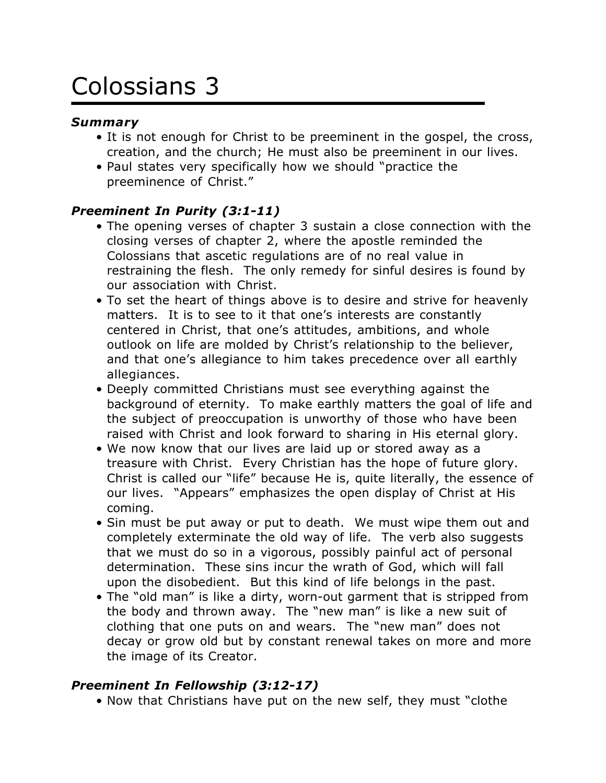# Colossians 3

## *Summary*

- It is not enough for Christ to be preeminent in the gospel, the cross, creation, and the church; He must also be preeminent in our lives.
- Paul states very specifically how we should "practice the preeminence of Christ."

# *Preeminent In Purity (3:1-11)*

- The opening verses of chapter 3 sustain a close connection with the closing verses of chapter 2, where the apostle reminded the Colossians that ascetic regulations are of no real value in restraining the flesh. The only remedy for sinful desires is found by our association with Christ.
- To set the heart of things above is to desire and strive for heavenly matters. It is to see to it that one's interests are constantly centered in Christ, that one's attitudes, ambitions, and whole outlook on life are molded by Christ's relationship to the believer, and that one's allegiance to him takes precedence over all earthly allegiances.
- Deeply committed Christians must see everything against the background of eternity. To make earthly matters the goal of life and the subject of preoccupation is unworthy of those who have been raised with Christ and look forward to sharing in His eternal glory.
- We now know that our lives are laid up or stored away as a treasure with Christ. Every Christian has the hope of future glory. Christ is called our "life" because He is, quite literally, the essence of our lives. "Appears" emphasizes the open display of Christ at His coming.
- Sin must be put away or put to death. We must wipe them out and completely exterminate the old way of life. The verb also suggests that we must do so in a vigorous, possibly painful act of personal determination. These sins incur the wrath of God, which will fall upon the disobedient. But this kind of life belongs in the past.
- The "old man" is like a dirty, worn-out garment that is stripped from the body and thrown away. The "new man" is like a new suit of clothing that one puts on and wears. The "new man" does not decay or grow old but by constant renewal takes on more and more the image of its Creator.

# *Preeminent In Fellowship (3:12-17)*

• Now that Christians have put on the new self, they must "clothe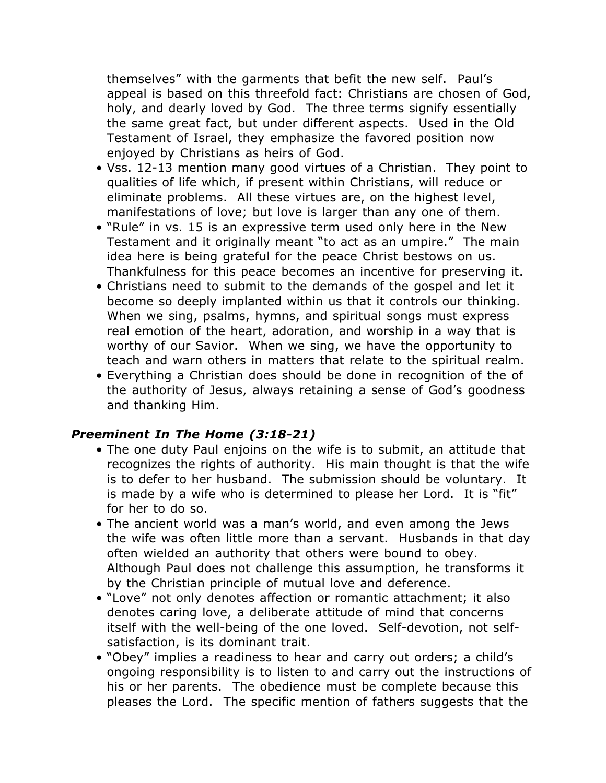themselves" with the garments that befit the new self. Paul's appeal is based on this threefold fact: Christians are chosen of God, holy, and dearly loved by God. The three terms signify essentially the same great fact, but under different aspects. Used in the Old Testament of Israel, they emphasize the favored position now enjoyed by Christians as heirs of God.

- Vss. 12-13 mention many good virtues of a Christian. They point to qualities of life which, if present within Christians, will reduce or eliminate problems. All these virtues are, on the highest level, manifestations of love; but love is larger than any one of them.
- "Rule" in vs. 15 is an expressive term used only here in the New Testament and it originally meant "to act as an umpire." The main idea here is being grateful for the peace Christ bestows on us. Thankfulness for this peace becomes an incentive for preserving it.
- Christians need to submit to the demands of the gospel and let it become so deeply implanted within us that it controls our thinking. When we sing, psalms, hymns, and spiritual songs must express real emotion of the heart, adoration, and worship in a way that is worthy of our Savior. When we sing, we have the opportunity to teach and warn others in matters that relate to the spiritual realm.
- Everything a Christian does should be done in recognition of the of the authority of Jesus, always retaining a sense of God's goodness and thanking Him.

## *Preeminent In The Home (3:18-21)*

- The one duty Paul enjoins on the wife is to submit, an attitude that recognizes the rights of authority. His main thought is that the wife is to defer to her husband. The submission should be voluntary. It is made by a wife who is determined to please her Lord. It is "fit" for her to do so.
- The ancient world was a man's world, and even among the Jews the wife was often little more than a servant. Husbands in that day often wielded an authority that others were bound to obey. Although Paul does not challenge this assumption, he transforms it by the Christian principle of mutual love and deference.
- "Love" not only denotes affection or romantic attachment; it also denotes caring love, a deliberate attitude of mind that concerns itself with the well-being of the one loved. Self-devotion, not selfsatisfaction, is its dominant trait.
- "Obey" implies a readiness to hear and carry out orders; a child's ongoing responsibility is to listen to and carry out the instructions of his or her parents. The obedience must be complete because this pleases the Lord. The specific mention of fathers suggests that the